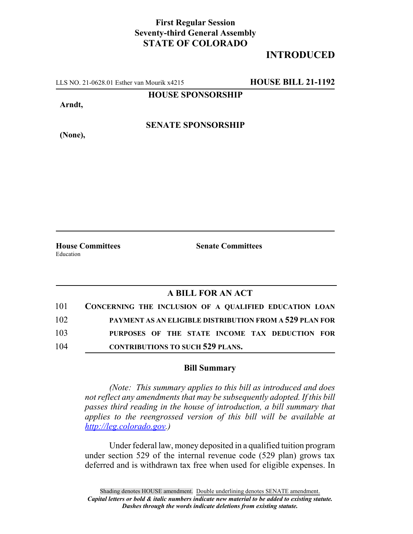## **First Regular Session Seventy-third General Assembly STATE OF COLORADO**

## **INTRODUCED**

LLS NO. 21-0628.01 Esther van Mourik x4215 **HOUSE BILL 21-1192**

**HOUSE SPONSORSHIP**

**Arndt,**

**(None),**

**SENATE SPONSORSHIP**

Education

**House Committees Senate Committees**

## **A BILL FOR AN ACT**

| 101 | CONCERNING THE INCLUSION OF A QUALIFIED EDUCATION LOAN  |
|-----|---------------------------------------------------------|
| 102 | PAYMENT AS AN ELIGIBLE DISTRIBUTION FROM A 529 PLAN FOR |
| 103 | PURPOSES OF THE STATE INCOME TAX DEDUCTION FOR          |
| 104 | <b>CONTRIBUTIONS TO SUCH 529 PLANS.</b>                 |

## **Bill Summary**

*(Note: This summary applies to this bill as introduced and does not reflect any amendments that may be subsequently adopted. If this bill passes third reading in the house of introduction, a bill summary that applies to the reengrossed version of this bill will be available at http://leg.colorado.gov.)*

Under federal law, money deposited in a qualified tuition program under section 529 of the internal revenue code (529 plan) grows tax deferred and is withdrawn tax free when used for eligible expenses. In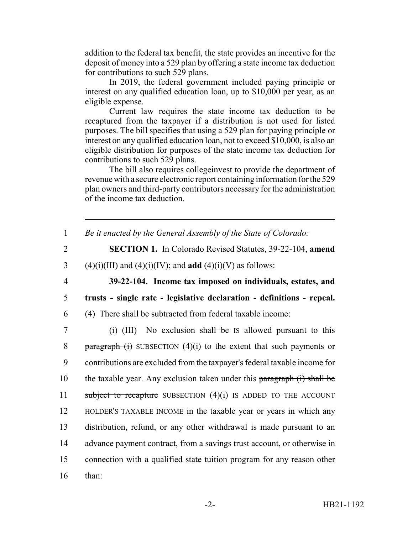addition to the federal tax benefit, the state provides an incentive for the deposit of money into a 529 plan by offering a state income tax deduction for contributions to such 529 plans.

In 2019, the federal government included paying principle or interest on any qualified education loan, up to \$10,000 per year, as an eligible expense.

Current law requires the state income tax deduction to be recaptured from the taxpayer if a distribution is not used for listed purposes. The bill specifies that using a 529 plan for paying principle or interest on any qualified education loan, not to exceed \$10,000, is also an eligible distribution for purposes of the state income tax deduction for contributions to such 529 plans.

The bill also requires collegeinvest to provide the department of revenue with a secure electronic report containing information for the 529 plan owners and third-party contributors necessary for the administration of the income tax deduction.

| $\mathbf{1}$   | Be it enacted by the General Assembly of the State of Colorado:                   |
|----------------|-----------------------------------------------------------------------------------|
| $\overline{2}$ | <b>SECTION 1.</b> In Colorado Revised Statutes, 39-22-104, amend                  |
| 3              | $(4)(i)(III)$ and $(4)(i)(IV)$ ; and <b>add</b> $(4)(i)(V)$ as follows:           |
| $\overline{4}$ | 39-22-104. Income tax imposed on individuals, estates, and                        |
| 5              | trusts - single rate - legislative declaration - definitions - repeal.            |
| 6              | (4) There shall be subtracted from federal taxable income:                        |
| $\overline{7}$ | (i) $(III)$ No exclusion shall be IS allowed pursuant to this                     |
| 8              | $\frac{1}{2}$ paragraph (i) SUBSECTION (4)(i) to the extent that such payments or |
| 9              | contributions are excluded from the taxpayer's federal taxable income for         |
| 10             | the taxable year. Any exclusion taken under this paragraph (i) shall be           |
| 11             | subject to recapture SUBSECTION $(4)(i)$ IS ADDED TO THE ACCOUNT                  |
| 12             | HOLDER'S TAXABLE INCOME in the taxable year or years in which any                 |
| 13             | distribution, refund, or any other withdrawal is made pursuant to an              |
| 14             | advance payment contract, from a savings trust account, or otherwise in           |
| 15             | connection with a qualified state tuition program for any reason other            |
| 16             | than:                                                                             |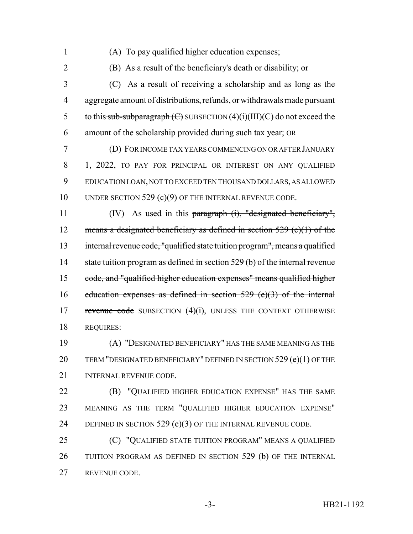- 
- (A) To pay qualified higher education expenses;

2 (B) As a result of the beneficiary's death or disability;  $\sigma$ 

 (C) As a result of receiving a scholarship and as long as the aggregate amount of distributions, refunds, or withdrawals made pursuant 5 to this sub-subparagraph  $(\text{C})$  SUBSECTION  $(4)(i)(III)(C)$  do not exceed the amount of the scholarship provided during such tax year; OR

 (D) FOR INCOME TAX YEARS COMMENCING ON OR AFTER JANUARY 1, 2022, TO PAY FOR PRINCIPAL OR INTEREST ON ANY QUALIFIED EDUCATION LOAN, NOT TO EXCEED TEN THOUSAND DOLLARS, AS ALLOWED 10 UNDER SECTION 529 (c)(9) OF THE INTERNAL REVENUE CODE.

 (IV) As used in this paragraph (i), "designated beneficiary", 12 means a designated beneficiary as defined in section (e)(1) of the internal revenue code, "qualified state tuition program", means a qualified 14 state tuition program as defined in section 529 (b) of the internal revenue code, and "qualified higher education expenses" means qualified higher 16 education expenses as defined in section (e)(3) of the internal 17 revenue code SUBSECTION (4)(i), UNLESS THE CONTEXT OTHERWISE REQUIRES:

 (A) "DESIGNATED BENEFICIARY" HAS THE SAME MEANING AS THE 20 TERM "DESIGNATED BENEFICIARY" DEFINED IN SECTION 529 (e)(1) OF THE INTERNAL REVENUE CODE.

 (B) "QUALIFIED HIGHER EDUCATION EXPENSE" HAS THE SAME MEANING AS THE TERM "QUALIFIED HIGHER EDUCATION EXPENSE" 24 DEFINED IN SECTION 529 (e)(3) OF THE INTERNAL REVENUE CODE.

 (C) "QUALIFIED STATE TUITION PROGRAM" MEANS A QUALIFIED TUITION PROGRAM AS DEFINED IN SECTION 529 (b) OF THE INTERNAL REVENUE CODE.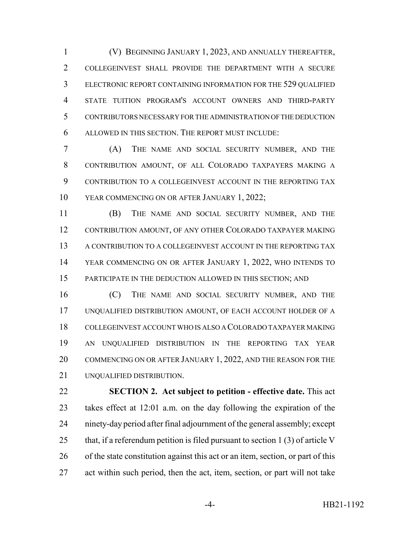(V) BEGINNING JANUARY 1, 2023, AND ANNUALLY THEREAFTER, COLLEGEINVEST SHALL PROVIDE THE DEPARTMENT WITH A SECURE ELECTRONIC REPORT CONTAINING INFORMATION FOR THE 529 QUALIFIED STATE TUITION PROGRAM'S ACCOUNT OWNERS AND THIRD-PARTY CONTRIBUTORS NECESSARY FOR THE ADMINISTRATION OF THE DEDUCTION ALLOWED IN THIS SECTION. THE REPORT MUST INCLUDE:

 (A) THE NAME AND SOCIAL SECURITY NUMBER, AND THE CONTRIBUTION AMOUNT, OF ALL COLORADO TAXPAYERS MAKING A CONTRIBUTION TO A COLLEGEINVEST ACCOUNT IN THE REPORTING TAX YEAR COMMENCING ON OR AFTER JANUARY 1, 2022;

 (B) THE NAME AND SOCIAL SECURITY NUMBER, AND THE 12 CONTRIBUTION AMOUNT, OF ANY OTHER COLORADO TAXPAYER MAKING 13 A CONTRIBUTION TO A COLLEGEINVEST ACCOUNT IN THE REPORTING TAX YEAR COMMENCING ON OR AFTER JANUARY 1, 2022, WHO INTENDS TO PARTICIPATE IN THE DEDUCTION ALLOWED IN THIS SECTION; AND

 (C) THE NAME AND SOCIAL SECURITY NUMBER, AND THE UNQUALIFIED DISTRIBUTION AMOUNT, OF EACH ACCOUNT HOLDER OF A COLLEGEINVEST ACCOUNT WHO IS ALSO A COLORADO TAXPAYER MAKING AN UNQUALIFIED DISTRIBUTION IN THE REPORTING TAX YEAR 20 COMMENCING ON OR AFTER JANUARY 1, 2022, AND THE REASON FOR THE UNQUALIFIED DISTRIBUTION.

 **SECTION 2. Act subject to petition - effective date.** This act takes effect at 12:01 a.m. on the day following the expiration of the ninety-day period after final adjournment of the general assembly; except 25 that, if a referendum petition is filed pursuant to section 1 (3) of article V of the state constitution against this act or an item, section, or part of this act within such period, then the act, item, section, or part will not take